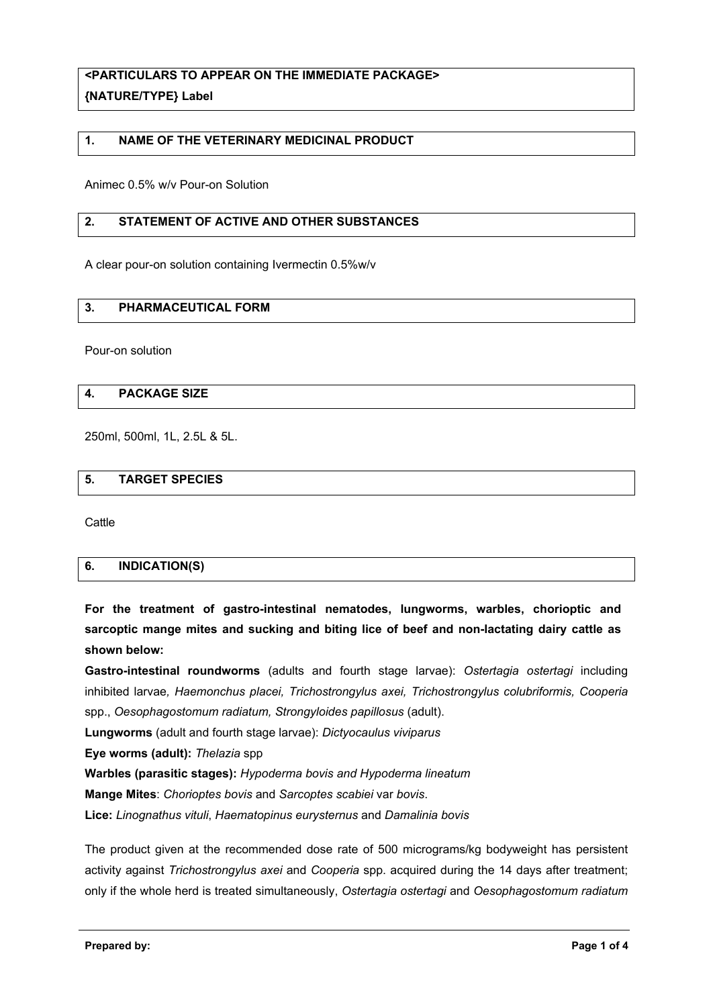# **<PARTICULARS TO APPEAR ON THE IMMEDIATE PACKAGE> {NATURE/TYPE} Label**

## **1. NAME OF THE VETERINARY MEDICINAL PRODUCT**

Animec 0.5% w/v Pour-on Solution

## **2. STATEMENT OF ACTIVE AND OTHER SUBSTANCES**

A clear pour-on solution containing Ivermectin 0.5%w/v

#### **3. PHARMACEUTICAL FORM**

Pour-on solution

## **4. PACKAGE SIZE**

250ml, 500ml, 1L, 2.5L & 5L.

#### **5. TARGET SPECIES**

**Cattle** 

# **6. INDICATION(S)**

**For the treatment of gastro-intestinal nematodes, lungworms, warbles, chorioptic and sarcoptic mange mites and sucking and biting lice of beef and non-lactating dairy cattle as shown below:**

**Gastro-intestinal roundworms** (adults and fourth stage larvae): *Ostertagia ostertagi* including inhibited larvae*, Haemonchus placei, Trichostrongylus axei, Trichostrongylus colubriformis, Cooperia*  spp., *Oesophagostomum radiatum, Strongyloides papillosus* (adult).

**Lungworms** (adult and fourth stage larvae): *Dictyocaulus viviparus*

**Eye worms (adult):** *Thelazia* spp

**Warbles (parasitic stages):** *Hypoderma bovis and Hypoderma lineatum*

**Mange Mites**: *Chorioptes bovis* and *Sarcoptes scabiei* var *bovis*.

**Lice:** *Linognathus vituli*, *Haematopinus eurysternus* and *Damalinia bovis*

The product given at the recommended dose rate of 500 micrograms/kg bodyweight has persistent activity against *Trichostrongylus axei* and *Cooperia* spp. acquired during the 14 days after treatment; only if the whole herd is treated simultaneously, *Ostertagia ostertagi* and *Oesophagostomum radiatum*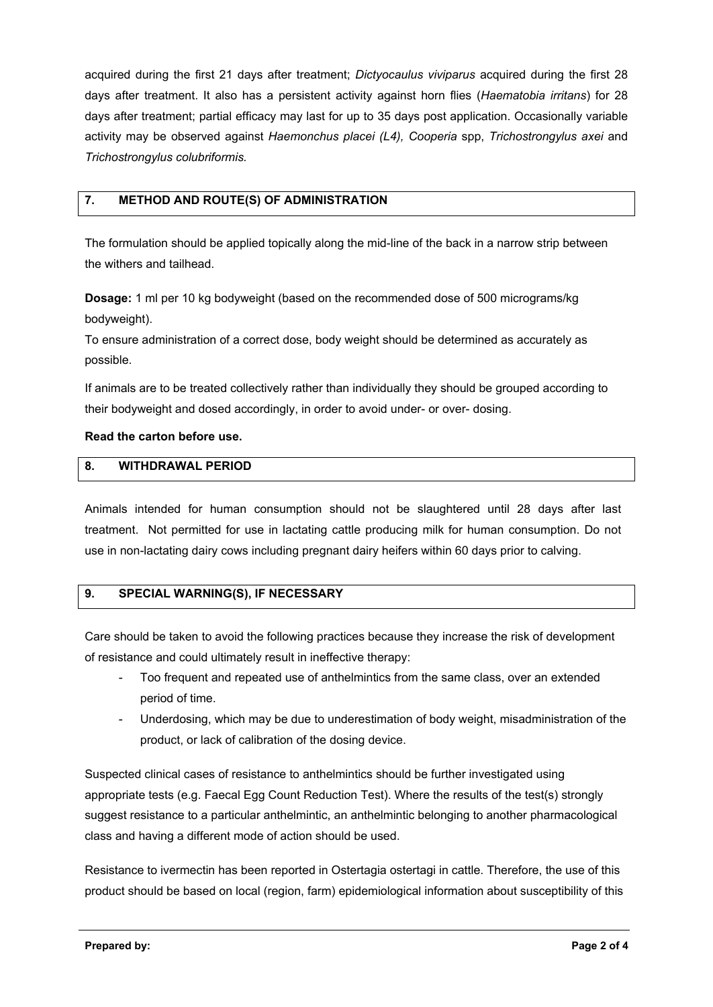acquired during the first 21 days after treatment; *Dictyocaulus viviparus* acquired during the first 28 days after treatment. It also has a persistent activity against horn flies (*Haematobia irritans*) for 28 days after treatment; partial efficacy may last for up to 35 days post application. Occasionally variable activity may be observed against *Haemonchus placei (L4), Cooperia* spp, *Trichostrongylus axei* and *Trichostrongylus colubriformis.*

# **7. METHOD AND ROUTE(S) OF ADMINISTRATION**

The formulation should be applied topically along the mid-line of the back in a narrow strip between the withers and tailhead.

**Dosage:** 1 ml per 10 kg bodyweight (based on the recommended dose of 500 micrograms/kg bodyweight).

To ensure administration of a correct dose, body weight should be determined as accurately as possible.

If animals are to be treated collectively rather than individually they should be grouped according to their bodyweight and dosed accordingly, in order to avoid under- or over- dosing.

## **Read the carton before use.**

# **8. WITHDRAWAL PERIOD**

Animals intended for human consumption should not be slaughtered until 28 days after last treatment. Not permitted for use in lactating cattle producing milk for human consumption. Do not use in non-lactating dairy cows including pregnant dairy heifers within 60 days prior to calving.

## **9. SPECIAL WARNING(S), IF NECESSARY**

Care should be taken to avoid the following practices because they increase the risk of development of resistance and could ultimately result in ineffective therapy:

- Too frequent and repeated use of anthelmintics from the same class, over an extended period of time.
- Underdosing, which may be due to underestimation of body weight, misadministration of the product, or lack of calibration of the dosing device.

Suspected clinical cases of resistance to anthelmintics should be further investigated using appropriate tests (e.g. Faecal Egg Count Reduction Test). Where the results of the test(s) strongly suggest resistance to a particular anthelmintic, an anthelmintic belonging to another pharmacological class and having a different mode of action should be used.

Resistance to ivermectin has been reported in Ostertagia ostertagi in cattle. Therefore, the use of this product should be based on local (region, farm) epidemiological information about susceptibility of this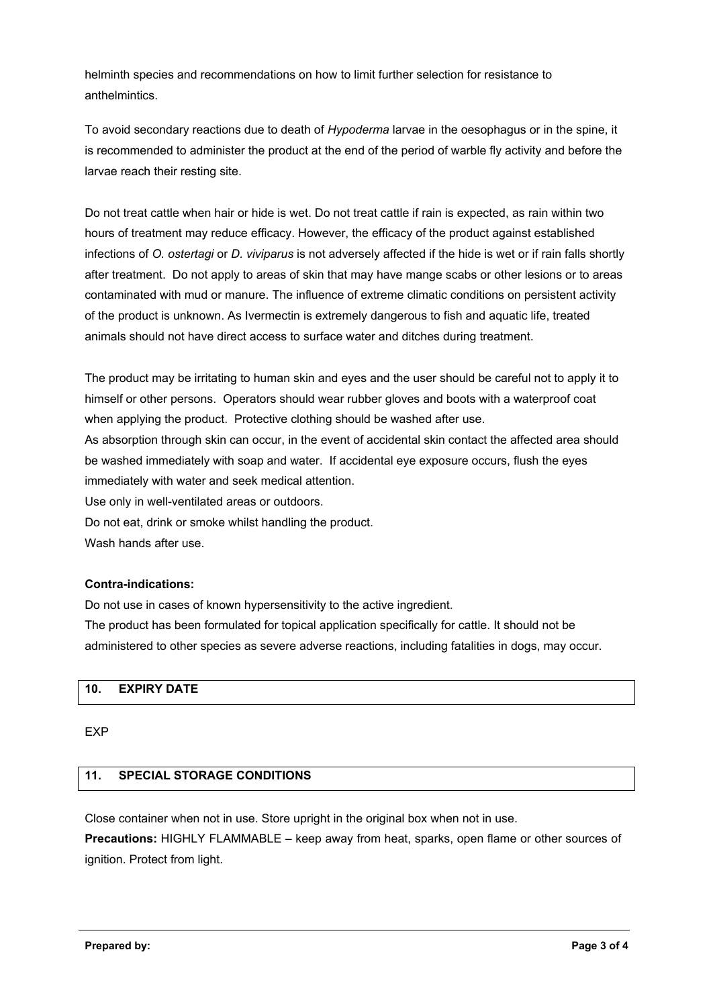helminth species and recommendations on how to limit further selection for resistance to anthelmintics.

To avoid secondary reactions due to death of *Hypoderma* larvae in the oesophagus or in the spine, it is recommended to administer the product at the end of the period of warble fly activity and before the larvae reach their resting site.

Do not treat cattle when hair or hide is wet. Do not treat cattle if rain is expected, as rain within two hours of treatment may reduce efficacy. However, the efficacy of the product against established infections of *O. ostertagi* or *D. viviparus* is not adversely affected if the hide is wet or if rain falls shortly after treatment. Do not apply to areas of skin that may have mange scabs or other lesions or to areas contaminated with mud or manure. The influence of extreme climatic conditions on persistent activity of the product is unknown. As Ivermectin is extremely dangerous to fish and aquatic life, treated animals should not have direct access to surface water and ditches during treatment.

The product may be irritating to human skin and eyes and the user should be careful not to apply it to himself or other persons. Operators should wear rubber gloves and boots with a waterproof coat when applying the product. Protective clothing should be washed after use. As absorption through skin can occur, in the event of accidental skin contact the affected area should be washed immediately with soap and water. If accidental eye exposure occurs, flush the eyes immediately with water and seek medical attention. Use only in well-ventilated areas or outdoors. Do not eat, drink or smoke whilst handling the product. Wash hands after use.

## **Contra-indications:**

Do not use in cases of known hypersensitivity to the active ingredient. The product has been formulated for topical application specifically for cattle. It should not be administered to other species as severe adverse reactions, including fatalities in dogs, may occur.

# **10. EXPIRY DATE**

**EXP** 

# **11. SPECIAL STORAGE CONDITIONS**

Close container when not in use. Store upright in the original box when not in use.

**Precautions:** HIGHLY FLAMMABLE – keep away from heat, sparks, open flame or other sources of ignition. Protect from light.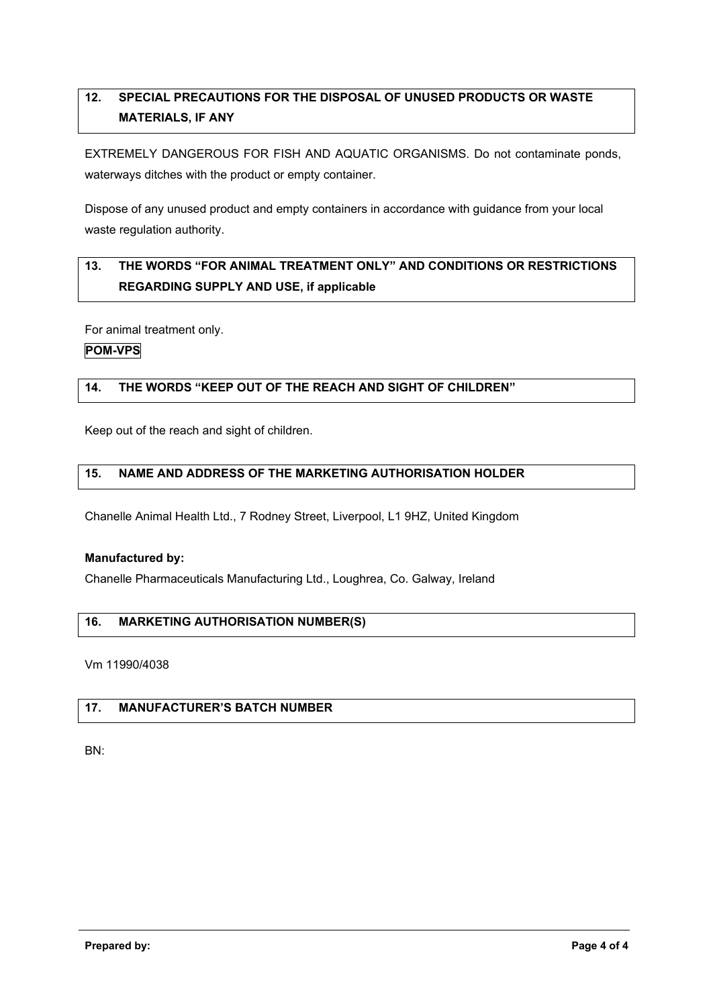# **12. SPECIAL PRECAUTIONS FOR THE DISPOSAL OF UNUSED PRODUCTS OR WASTE MATERIALS, IF ANY**

EXTREMELY DANGEROUS FOR FISH AND AQUATIC ORGANISMS. Do not contaminate ponds, waterways ditches with the product or empty container.

Dispose of any unused product and empty containers in accordance with guidance from your local waste regulation authority.

# **13. THE WORDS "FOR ANIMAL TREATMENT ONLY" AND CONDITIONS OR RESTRICTIONS REGARDING SUPPLY AND USE, if applicable**

For animal treatment only.

# **POM-VPS**

# **14. THE WORDS "KEEP OUT OF THE REACH AND SIGHT OF CHILDREN"**

Keep out of the reach and sight of children.

# **15. NAME AND ADDRESS OF THE MARKETING AUTHORISATION HOLDER**

Chanelle Animal Health Ltd., 7 Rodney Street, Liverpool, L1 9HZ, United Kingdom

#### **Manufactured by:**

Chanelle Pharmaceuticals Manufacturing Ltd., Loughrea, Co. Galway, Ireland

## **16. MARKETING AUTHORISATION NUMBER(S)**

Vm 11990/4038

# **17. MANUFACTURER'S BATCH NUMBER**

BN: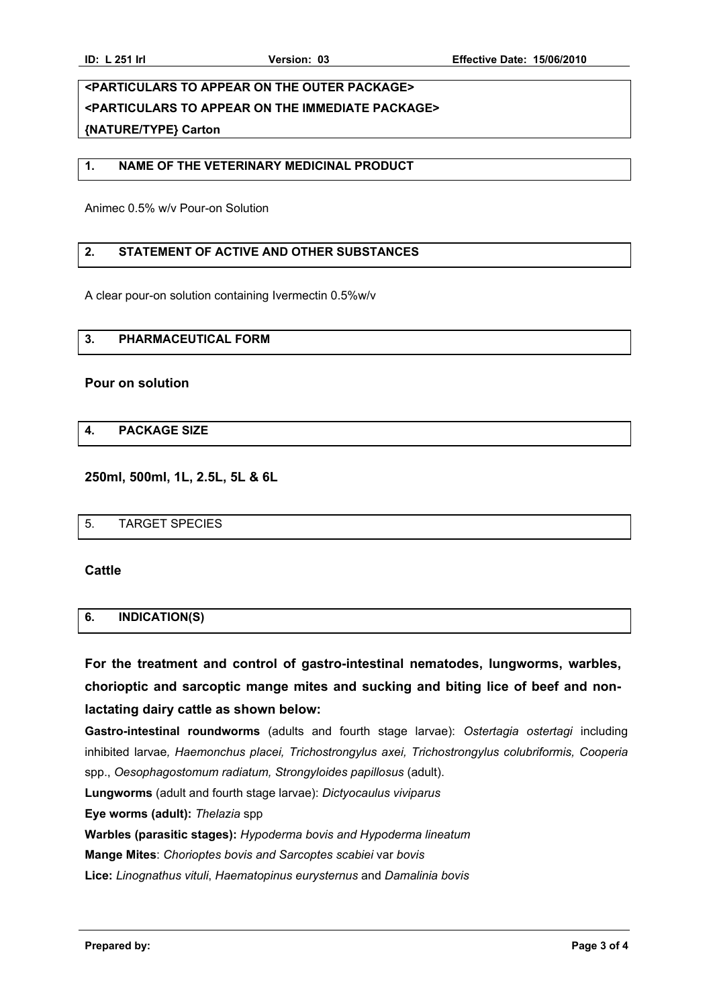# **<PARTICULARS TO APPEAR ON THE OUTER PACKAGE> <PARTICULARS TO APPEAR ON THE IMMEDIATE PACKAGE> {NATURE/TYPE} Carton**

# **1. NAME OF THE VETERINARY MEDICINAL PRODUCT**

Animec 0.5% w/v Pour-on Solution

## **2. STATEMENT OF ACTIVE AND OTHER SUBSTANCES**

A clear pour-on solution containing Ivermectin 0.5%w/v

### **3. PHARMACEUTICAL FORM**

#### **Pour on solution**

#### **4. PACKAGE SIZE**

**250ml, 500ml, 1L, 2.5L, 5L & 6L**

|--|

**Cattle**

#### **6. INDICATION(S)**

**For the treatment and control of gastro-intestinal nematodes, lungworms, warbles, chorioptic and sarcoptic mange mites and sucking and biting lice of beef and nonlactating dairy cattle as shown below:**

**Gastro-intestinal roundworms** (adults and fourth stage larvae): *Ostertagia ostertagi* including inhibited larvae*, Haemonchus placei, Trichostrongylus axei, Trichostrongylus colubriformis, Cooperia*  spp., *Oesophagostomum radiatum, Strongyloides papillosus* (adult).

**Lungworms** (adult and fourth stage larvae): *Dictyocaulus viviparus*

**Eye worms (adult):** *Thelazia* spp

**Warbles (parasitic stages):** *Hypoderma bovis and Hypoderma lineatum*

**Mange Mites**: *Chorioptes bovis and Sarcoptes scabiei* var *bovis*

**Lice:** *Linognathus vituli*, *Haematopinus eurysternus* and *Damalinia bovis*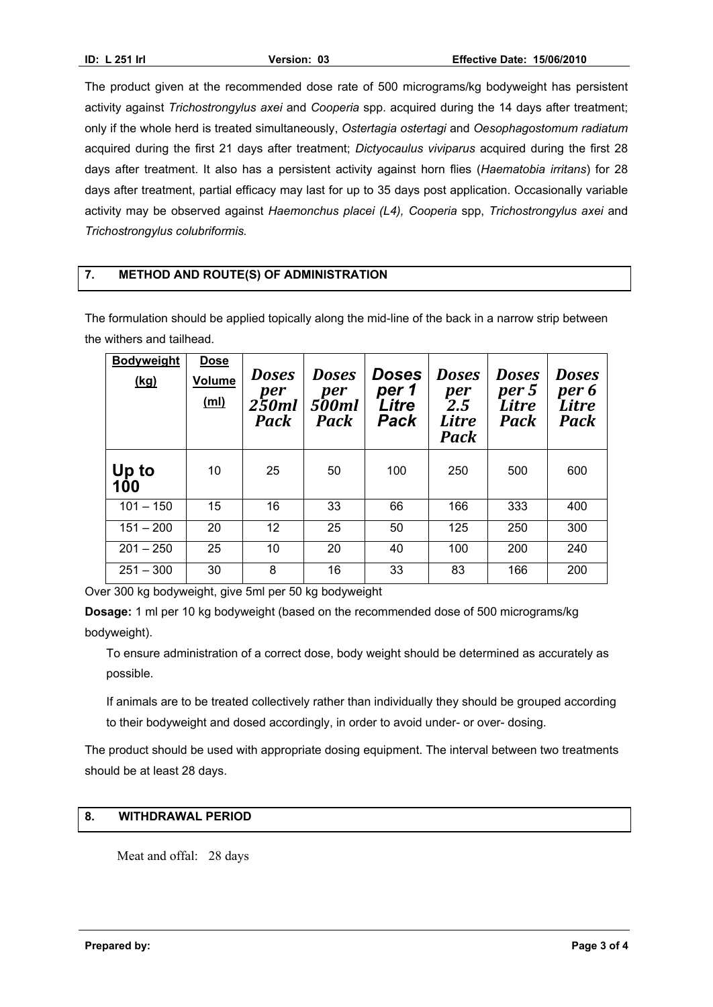The product given at the recommended dose rate of 500 micrograms/kg bodyweight has persistent activity against *Trichostrongylus axei* and *Cooperia* spp. acquired during the 14 days after treatment; only if the whole herd is treated simultaneously, *Ostertagia ostertagi* and *Oesophagostomum radiatum*  acquired during the first 21 days after treatment; *Dictyocaulus viviparus* acquired during the first 28 days after treatment. It also has a persistent activity against horn flies (*Haematobia irritans*) for 28 days after treatment, partial efficacy may last for up to 35 days post application. Occasionally variable activity may be observed against *Haemonchus placei (L4), Cooperia* spp, *Trichostrongylus axei* and *Trichostrongylus colubriformis.*

# **7. METHOD AND ROUTE(S) OF ADMINISTRATION**

The formulation should be applied topically along the mid-line of the back in a narrow strip between the withers and tailhead.

| <b>Bodyweight</b><br><u>(kg)</u> | <b>Dose</b><br><b>Volume</b><br>(m <sub>l</sub> ) | <b>Doses</b><br>per<br>250ml<br>Pack | <b>Doses</b><br>per<br><b>500ml</b><br>Pack | <b>Doses</b><br>per 1<br>Litre<br>Pack | <b>Doses</b><br>per<br>2.5<br><b>Litre</b><br>Pack | <b>Doses</b><br>per 5<br>Litre<br>Pack | <b>Doses</b><br>per 6<br>Litre<br><b>Pack</b> |
|----------------------------------|---------------------------------------------------|--------------------------------------|---------------------------------------------|----------------------------------------|----------------------------------------------------|----------------------------------------|-----------------------------------------------|
| Up to<br>100                     | 10                                                | 25                                   | 50                                          | 100                                    | 250                                                | 500                                    | 600                                           |
| $101 - 150$                      | 15                                                | 16                                   | 33                                          | 66                                     | 166                                                | 333                                    | 400                                           |
| $151 - 200$                      | 20                                                | 12                                   | 25                                          | 50                                     | 125                                                | 250                                    | 300                                           |
| $201 - 250$                      | 25                                                | 10                                   | 20                                          | 40                                     | 100                                                | 200                                    | 240                                           |
| $251 - 300$                      | 30                                                | 8                                    | 16                                          | 33                                     | 83                                                 | 166                                    | 200                                           |

Over 300 kg bodyweight, give 5ml per 50 kg bodyweight

**Dosage:** 1 ml per 10 kg bodyweight (based on the recommended dose of 500 micrograms/kg bodyweight).

To ensure administration of a correct dose, body weight should be determined as accurately as possible.

If animals are to be treated collectively rather than individually they should be grouped according to their bodyweight and dosed accordingly, in order to avoid under- or over- dosing.

The product should be used with appropriate dosing equipment. The interval between two treatments should be at least 28 days.

# **8. WITHDRAWAL PERIOD**

Meat and offal: 28 days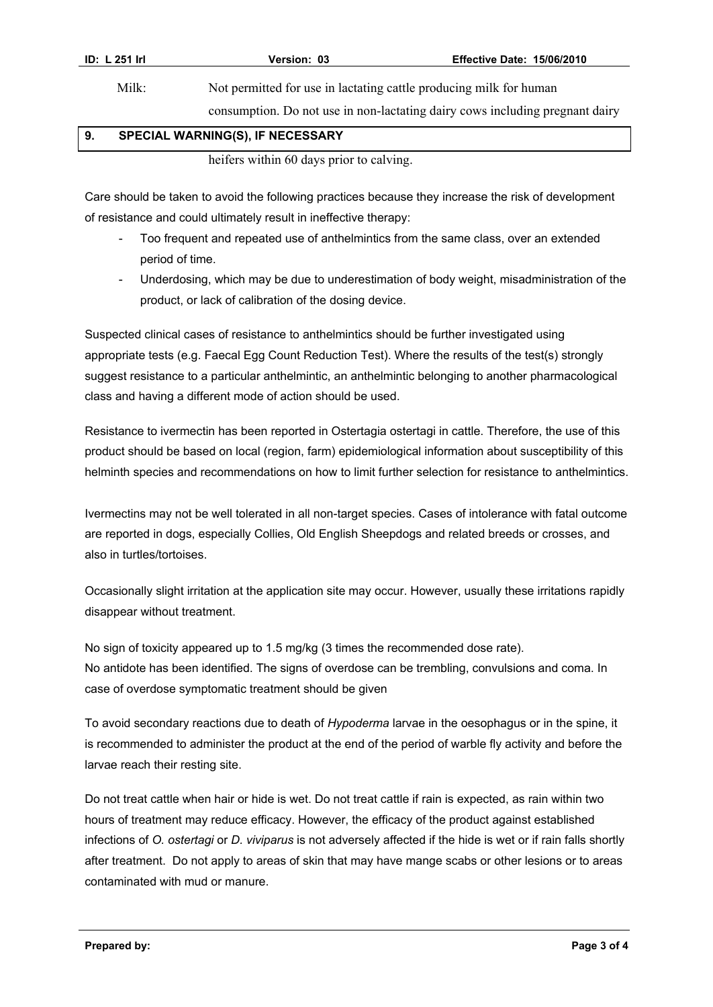Milk: Not permitted for use in lactating cattle producing milk for human

consumption. Do not use in non-lactating dairy cows including pregnant dairy

## **9. SPECIAL WARNING(S), IF NECESSARY**

heifers within 60 days prior to calving.

Care should be taken to avoid the following practices because they increase the risk of development of resistance and could ultimately result in ineffective therapy:

- Too frequent and repeated use of anthelmintics from the same class, over an extended period of time.
- Underdosing, which may be due to underestimation of body weight, misadministration of the product, or lack of calibration of the dosing device.

Suspected clinical cases of resistance to anthelmintics should be further investigated using appropriate tests (e.g. Faecal Egg Count Reduction Test). Where the results of the test(s) strongly suggest resistance to a particular anthelmintic, an anthelmintic belonging to another pharmacological class and having a different mode of action should be used.

Resistance to ivermectin has been reported in Ostertagia ostertagi in cattle. Therefore, the use of this product should be based on local (region, farm) epidemiological information about susceptibility of this helminth species and recommendations on how to limit further selection for resistance to anthelmintics.

Ivermectins may not be well tolerated in all non-target species. Cases of intolerance with fatal outcome are reported in dogs, especially Collies, Old English Sheepdogs and related breeds or crosses, and also in turtles/tortoises.

Occasionally slight irritation at the application site may occur. However, usually these irritations rapidly disappear without treatment.

No sign of toxicity appeared up to 1.5 mg/kg (3 times the recommended dose rate). No antidote has been identified. The signs of overdose can be trembling, convulsions and coma. In case of overdose symptomatic treatment should be given

To avoid secondary reactions due to death of *Hypoderma* larvae in the oesophagus or in the spine, it is recommended to administer the product at the end of the period of warble fly activity and before the larvae reach their resting site.

Do not treat cattle when hair or hide is wet. Do not treat cattle if rain is expected, as rain within two hours of treatment may reduce efficacy. However, the efficacy of the product against established infections of *O. ostertagi* or *D. viviparus* is not adversely affected if the hide is wet or if rain falls shortly after treatment. Do not apply to areas of skin that may have mange scabs or other lesions or to areas contaminated with mud or manure.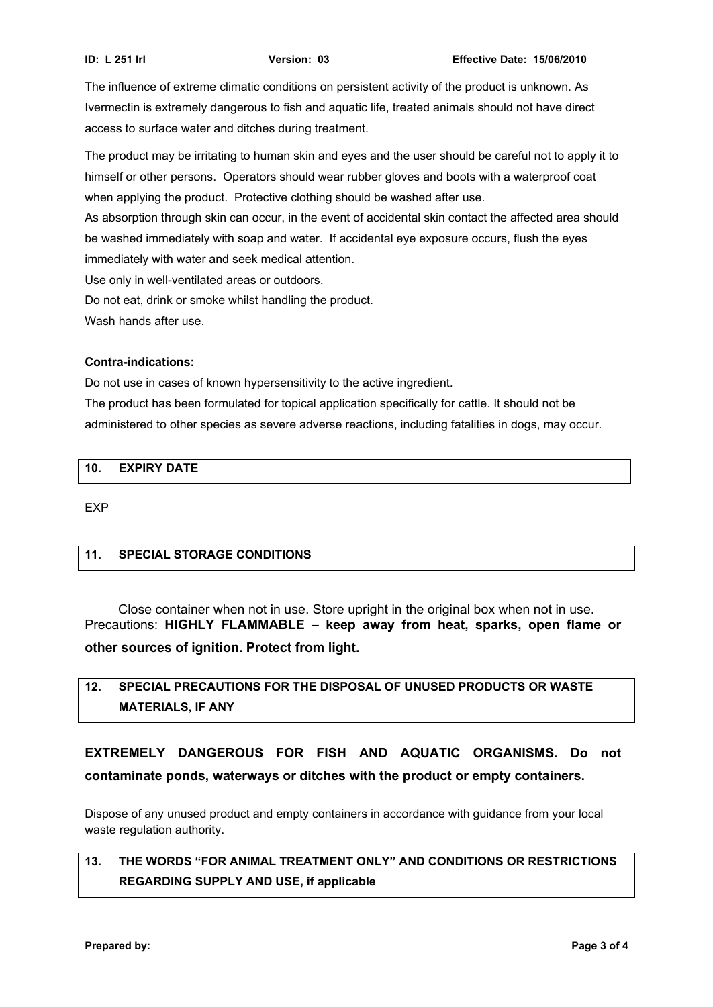The influence of extreme climatic conditions on persistent activity of the product is unknown. As Ivermectin is extremely dangerous to fish and aquatic life, treated animals should not have direct access to surface water and ditches during treatment.

The product may be irritating to human skin and eyes and the user should be careful not to apply it to himself or other persons. Operators should wear rubber gloves and boots with a waterproof coat when applying the product. Protective clothing should be washed after use.

As absorption through skin can occur, in the event of accidental skin contact the affected area should be washed immediately with soap and water. If accidental eye exposure occurs, flush the eyes immediately with water and seek medical attention.

Use only in well-ventilated areas or outdoors.

Do not eat, drink or smoke whilst handling the product.

Wash hands after use.

#### **Contra-indications:**

Do not use in cases of known hypersensitivity to the active ingredient.

The product has been formulated for topical application specifically for cattle. It should not be administered to other species as severe adverse reactions, including fatalities in dogs, may occur.

## **10. EXPIRY DATE**

EXP

## **11. SPECIAL STORAGE CONDITIONS**

Close container when not in use. Store upright in the original box when not in use. Precautions: **HIGHLY FLAMMABLE – keep away from heat, sparks, open flame or other sources of ignition. Protect from light.**

# **12. SPECIAL PRECAUTIONS FOR THE DISPOSAL OF UNUSED PRODUCTS OR WASTE MATERIALS, IF ANY**

# **EXTREMELY DANGEROUS FOR FISH AND AQUATIC ORGANISMS. Do not contaminate ponds, waterways or ditches with the product or empty containers.**

Dispose of any unused product and empty containers in accordance with guidance from your local waste regulation authority.

# **13. THE WORDS "FOR ANIMAL TREATMENT ONLY" AND CONDITIONS OR RESTRICTIONS REGARDING SUPPLY AND USE, if applicable**